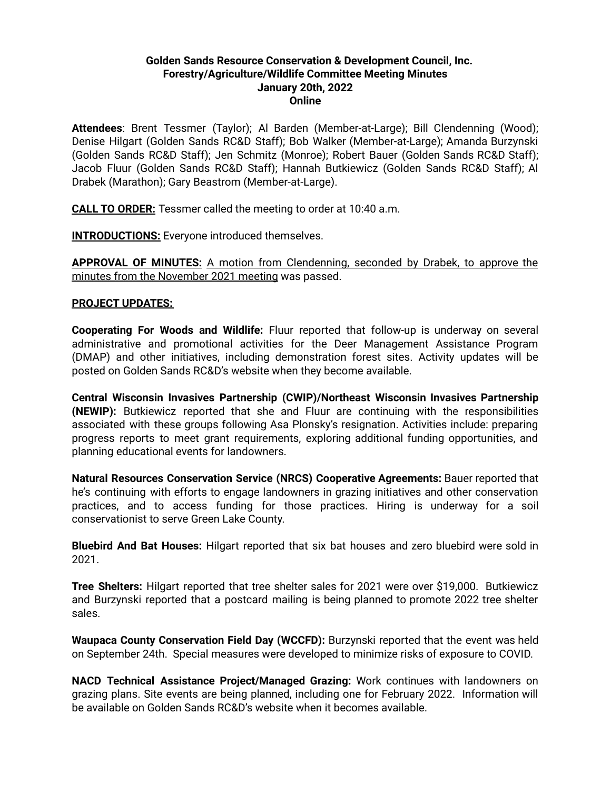### **Golden Sands Resource Conservation & Development Council, Inc. Forestry/Agriculture/Wildlife Committee Meeting Minutes January 20th, 2022 Online**

**Attendees**: Brent Tessmer (Taylor); Al Barden (Member-at-Large); Bill Clendenning (Wood); Denise Hilgart (Golden Sands RC&D Staff); Bob Walker (Member-at-Large); Amanda Burzynski (Golden Sands RC&D Staff); Jen Schmitz (Monroe); Robert Bauer (Golden Sands RC&D Staff); Jacob Fluur (Golden Sands RC&D Staff); Hannah Butkiewicz (Golden Sands RC&D Staff); Al Drabek (Marathon); Gary Beastrom (Member-at-Large).

**CALL TO ORDER:** Tessmer called the meeting to order at 10:40 a.m.

**INTRODUCTIONS:** Everyone introduced themselves.

**APPROVAL OF MINUTES:** A motion from Clendenning, seconded by Drabek, to approve the minutes from the November 2021 meeting was passed.

#### **PROJECT UPDATES:**

**Cooperating For Woods and Wildlife:** Fluur reported that follow-up is underway on several administrative and promotional activities for the Deer Management Assistance Program (DMAP) and other initiatives, including demonstration forest sites. Activity updates will be posted on Golden Sands RC&D's website when they become available.

**Central Wisconsin Invasives Partnership (CWIP)/Northeast Wisconsin Invasives Partnership (NEWIP):** Butkiewicz reported that she and Fluur are continuing with the responsibilities associated with these groups following Asa Plonsky's resignation. Activities include: preparing progress reports to meet grant requirements, exploring additional funding opportunities, and planning educational events for landowners.

**Natural Resources Conservation Service (NRCS) Cooperative Agreements:** Bauer reported that he's continuing with efforts to engage landowners in grazing initiatives and other conservation practices, and to access funding for those practices. Hiring is underway for a soil conservationist to serve Green Lake County.

**Bluebird And Bat Houses:** Hilgart reported that six bat houses and zero bluebird were sold in 2021.

**Tree Shelters:** Hilgart reported that tree shelter sales for 2021 were over \$19,000. Butkiewicz and Burzynski reported that a postcard mailing is being planned to promote 2022 tree shelter sales.

**Waupaca County Conservation Field Day (WCCFD):** Burzynski reported that the event was held on September 24th. Special measures were developed to minimize risks of exposure to COVID.

**NACD Technical Assistance Project/Managed Grazing:** Work continues with landowners on grazing plans. Site events are being planned, including one for February 2022. Information will be available on Golden Sands RC&D's website when it becomes available.